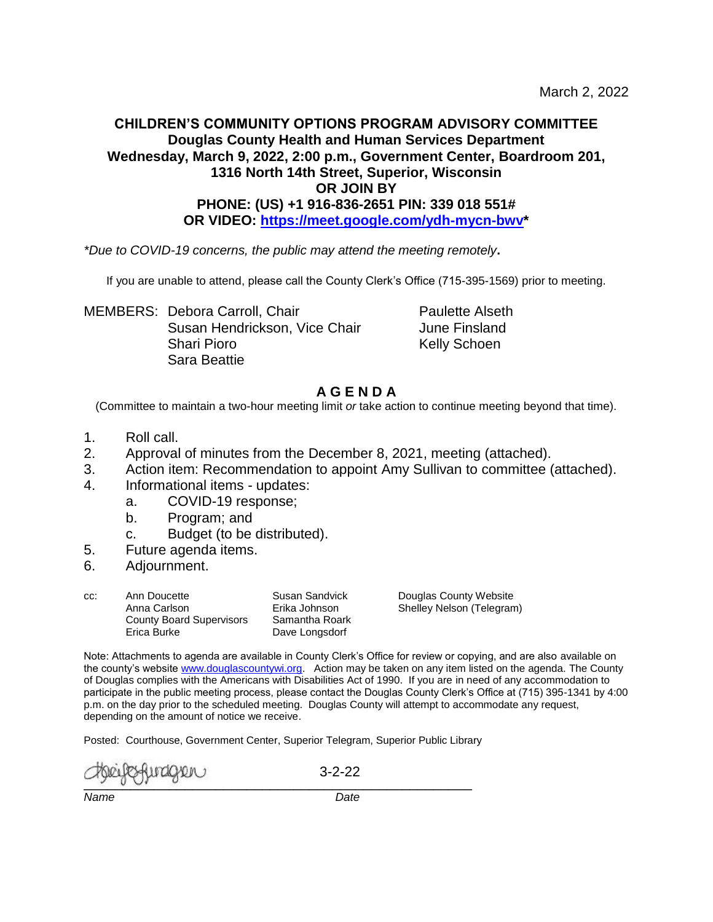#### **CHILDREN'S COMMUNITY OPTIONS PROGRAM ADVISORY COMMITTEE Douglas County Health and Human Services Department Wednesday, March 9, 2022, 2:00 p.m., Government Center, Boardroom 201, 1316 North 14th Street, Superior, Wisconsin OR JOIN BY PHONE: (US) +1 916-836-2651 PIN: 339 018 551# OR VIDEO: [https://meet.google.com/ydh-mycn-bwv\\*](https://meet.google.com/ydh-mycn-bwv)**

*\*Due to COVID-19 concerns, the public may attend the meeting remotely***.**

If you are unable to attend, please call the County Clerk's Office (715-395-1569) prior to meeting.

MEMBERS: Debora Carroll, Chair **Paulette Alseth** Susan Hendrickson, Vice Chair **June Finsland** Shari Pioro **Kelly Schoen** Sara Beattie

# **A G E N D A**

(Committee to maintain a two-hour meeting limit *or* take action to continue meeting beyond that time).

- 1. Roll call.
- 2. Approval of minutes from the December 8, 2021, meeting (attached).
- 3. Action item: Recommendation to appoint Amy Sullivan to committee (attached).
- 4. Informational items updates:
	- a. COVID-19 response;
	- b. Program; and
	- c. Budget (to be distributed).
- 5. Future agenda items.
- 6. Adjournment.

| CC: | Ann Doucette                    | Susan Sandvick |
|-----|---------------------------------|----------------|
|     | Anna Carlson                    | Erika Johnson  |
|     | <b>County Board Supervisors</b> | Samantha Roark |
|     | Erica Burke                     | Dave Longsdorf |

Douglas County Website Shelley Nelson (Telegram)

Note: Attachments to agenda are available in County Clerk's Office for review or copying, and are also available on the county's websit[e www.douglascountywi.org.](http://www.douglascountywi.org/) Action may be taken on any item listed on the agenda. The County of Douglas complies with the Americans with Disabilities Act of 1990. If you are in need of any accommodation to participate in the public meeting process, please contact the Douglas County Clerk's Office at (715) 395-1341 by 4:00 p.m. on the day prior to the scheduled meeting. Douglas County will attempt to accommodate any request, depending on the amount of notice we receive.

Posted: Courthouse, Government Center, Superior Telegram, Superior Public Library

 $\sim$ 

3-2-22

*Name Date*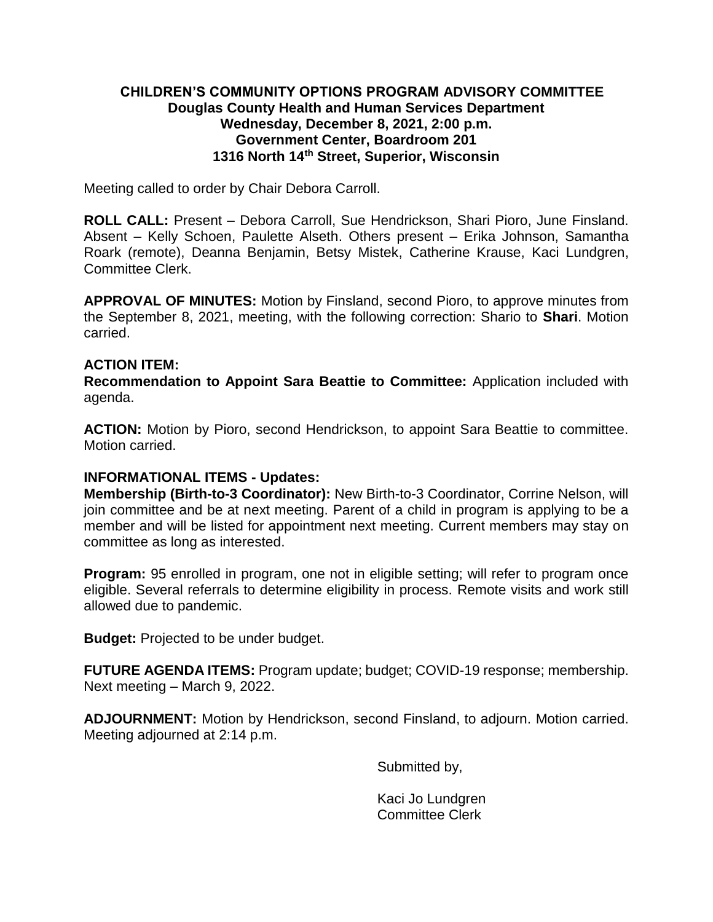## **CHILDREN'S COMMUNITY OPTIONS PROGRAM ADVISORY COMMITTEE Douglas County Health and Human Services Department Wednesday, December 8, 2021, 2:00 p.m. Government Center, Boardroom 201 1316 North 14th Street, Superior, Wisconsin**

Meeting called to order by Chair Debora Carroll.

**ROLL CALL:** Present – Debora Carroll, Sue Hendrickson, Shari Pioro, June Finsland. Absent – Kelly Schoen, Paulette Alseth. Others present – Erika Johnson, Samantha Roark (remote), Deanna Benjamin, Betsy Mistek, Catherine Krause, Kaci Lundgren, Committee Clerk.

**APPROVAL OF MINUTES:** Motion by Finsland, second Pioro, to approve minutes from the September 8, 2021, meeting, with the following correction: Shario to **Shari**. Motion carried.

#### **ACTION ITEM:**

**Recommendation to Appoint Sara Beattie to Committee:** Application included with agenda.

**ACTION:** Motion by Pioro, second Hendrickson, to appoint Sara Beattie to committee. Motion carried.

## **INFORMATIONAL ITEMS - Updates:**

**Membership (Birth-to-3 Coordinator):** New Birth-to-3 Coordinator, Corrine Nelson, will join committee and be at next meeting. Parent of a child in program is applying to be a member and will be listed for appointment next meeting. Current members may stay on committee as long as interested.

**Program:** 95 enrolled in program, one not in eligible setting; will refer to program once eligible. Several referrals to determine eligibility in process. Remote visits and work still allowed due to pandemic.

**Budget:** Projected to be under budget.

**FUTURE AGENDA ITEMS:** Program update; budget; COVID-19 response; membership. Next meeting – March 9, 2022.

**ADJOURNMENT:** Motion by Hendrickson, second Finsland, to adjourn. Motion carried. Meeting adjourned at 2:14 p.m.

Submitted by,

Kaci Jo Lundgren Committee Clerk